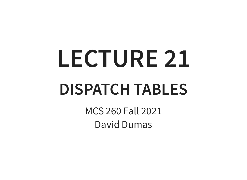# **LECTURE 21 DISPATCH TABLES**

MCS 260 Fall 2021 David Dumas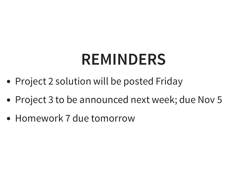### **REMINDERS**

- Project 2 solution will be posted Friday
- Project 3 to be announced next week; due Nov 5
- Homework 7 due tomorrow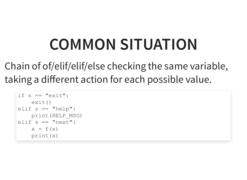## **COMMON SITUATION**

Chain of of/elif/elif/else checking the same variable, taking a different action for each possible value.

```
if s == "exit":exit()
elif s == "help":
    print(HELP_MSG)
elif s == "next":x = f(x)print(x)
```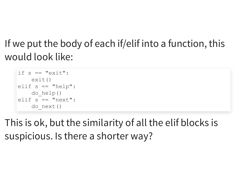#### If we put the body of each if/elif into a function, this would look like:

```
if s == "exit":exit()
elif s == "help":do_help()
elif s == "next":do_next()
```
This is ok, but the similarity of all the elif blocks is suspicious. Is there a shorter way?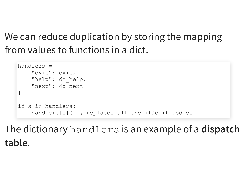#### We can reduce duplication by storing the mapping from values to functions in a dict.

```
handlers = {
    "exit": exit,
    "help": do help,
    "next": do_next
}
if s in handlers:
    handlers[s]() # replaces all the if/elif bodies
```
#### The dictionary handlers is an example of a **dispatch table**.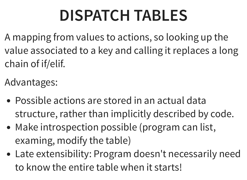# **DISPATCH TABLES**

A mapping from values to actions, so looking up the value associated to a key and calling it replaces a long chain of if/elif.

Advantages:

- Possible actions are stored in an actual data structure, rather than implicitly described by code.
- Make introspection possible (program can list, examing, modify the table)
- Late extensibility: Program doesn't necessarily need to know the entire table when it starts!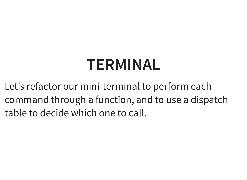## **TERMINAL**

Let's refactor our mini-terminal to perform each command through a function, and to use a dispatch table to decide which one to call.